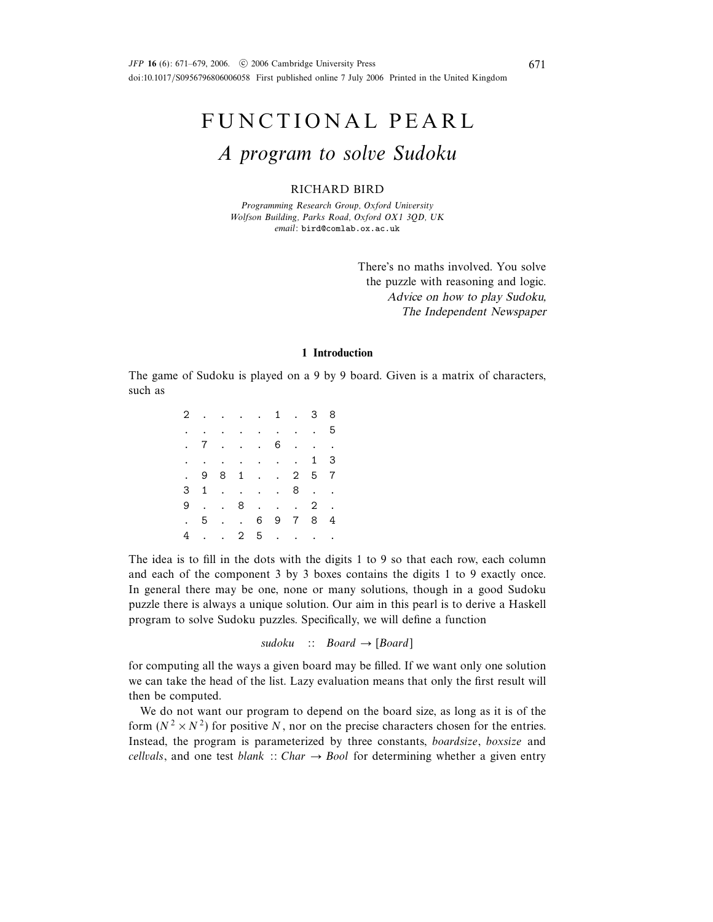# FUNCTIONAL PEARL

# A program to solve Sudoku

# RICHARD BIRD

Programming Research Group, Oxford University Wolfson Building, Parks Road, Oxford OX1 3QD, UK email: bird@comlab.ox.ac.uk

> There's no maths involved. You solve the puzzle with reasoning and logic. Advice on how to play Sudoku, The Independent Newspaper

# 1 Introduction

The game of Sudoku is played on a 9 by 9 board. Given is a matrix of characters, such as

|   |   |   | $2$ 1 . 3                                                   |   |   |                         |     | 8  |
|---|---|---|-------------------------------------------------------------|---|---|-------------------------|-----|----|
|   |   |   | . 5                                                         |   |   |                         |     |    |
|   |   |   | 7                                                           |   |   | 6                       |     |    |
|   |   |   | . 1 3                                                       |   |   |                         |     |    |
|   | 9 | 8 |                                                             |   |   | $1 \cdot \cdot \cdot 2$ | 5 7 |    |
| 3 |   |   | $1 \quad . \quad . \quad . \quad . \quad 8 \quad . \quad .$ |   |   |                         |     |    |
| 9 |   |   | $\cdot$ $\cdot$ 8 $\cdot$ $\cdot$ $\cdot$ 2 $\cdot$         |   |   |                         |     |    |
|   |   |   | 5.                                                          | 6 | 9 | $7\phantom{0}$          |     | 84 |
| 4 |   |   | $\therefore$ 2 5                                            |   |   |                         |     |    |

The idea is to fill in the dots with the digits 1 to 9 so that each row, each column and each of the component 3 by 3 boxes contains the digits 1 to 9 exactly once. In general there may be one, none or many solutions, though in a good Sudoku puzzle there is always a unique solution. Our aim in this pearl is to derive a Haskell program to solve Sudoku puzzles. Specifically, we will define a function

sudoku :: Board  $\rightarrow$  [Board]

for computing all the ways a given board may be filled. If we want only one solution we can take the head of the list. Lazy evaluation means that only the first result will then be computed.

We do not want our program to depend on the board size, as long as it is of the form  $(N^2 \times N^2)$  for positive N, nor on the precise characters chosen for the entries. Instead, the program is parameterized by three constants, boardsize, boxsize and cellvals, and one test blank :: Char  $\rightarrow$  Bool for determining whether a given entry

671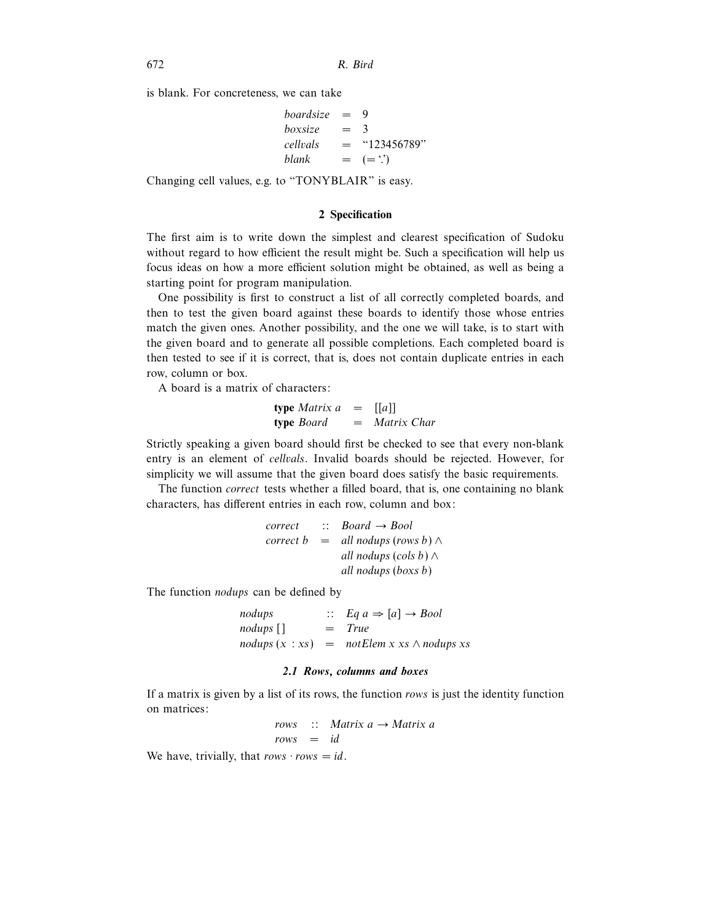is blank. For concreteness, we can take

$$
boardsize = 9
$$
\n
$$
boxsize = 3
$$
\n
$$
cellvals = "123456789"
$$
\n
$$
blank = (= \text{(*)})
$$

Changing cell values, e.g. to "TONYBLAIR" is easy.

#### 2 Specification

The first aim is to write down the simplest and clearest specification of Sudoku without regard to how efficient the result might be. Such a specification will help us focus ideas on how a more efficient solution might be obtained, as well as being a starting point for program manipulation.

One possibility is first to construct a list of all correctly completed boards, and then to test the given board against these boards to identify those whose entries match the given ones. Another possibility, and the one we will take, is to start with the given board and to generate all possible completions. Each completed board is then tested to see if it is correct, that is, does not contain duplicate entries in each row, column or box.

A board is a matrix of characters:

type Matrix  $a = [[a]]$ type  $Board = Matrix Char$ 

Strictly speaking a given board should first be checked to see that every non-blank entry is an element of cellvals. Invalid boards should be rejected. However, for simplicity we will assume that the given board does satisfy the basic requirements.

The function correct tests whether a filled board, that is, one containing no blank characters, has different entries in each row, column and box:

| correct   |     | $\therefore$ Board $\rightarrow$ Bool |
|-----------|-----|---------------------------------------|
| correct b | $=$ | all nodups (rows b) $\wedge$          |
|           |     | all nodups (cols b) $\wedge$          |
|           |     | all nodups (boxs b)                   |

The function nodups can be defined by

 $nodups$  ::  $Eq a \Rightarrow [a] \rightarrow Bool$  $nodups [$  =  $True$  $nodups(x : xs) = notElem x xs \wedge nodups xs$ 

### 2.1 Rows, columns and boxes

If a matrix is given by a list of its rows, the function rows is just the identity function on matrices:

> rows  $\therefore$  Matrix  $a \rightarrow$  Matrix a  $rows = id$

We have, trivially, that rows  $\cdot$  rows = id.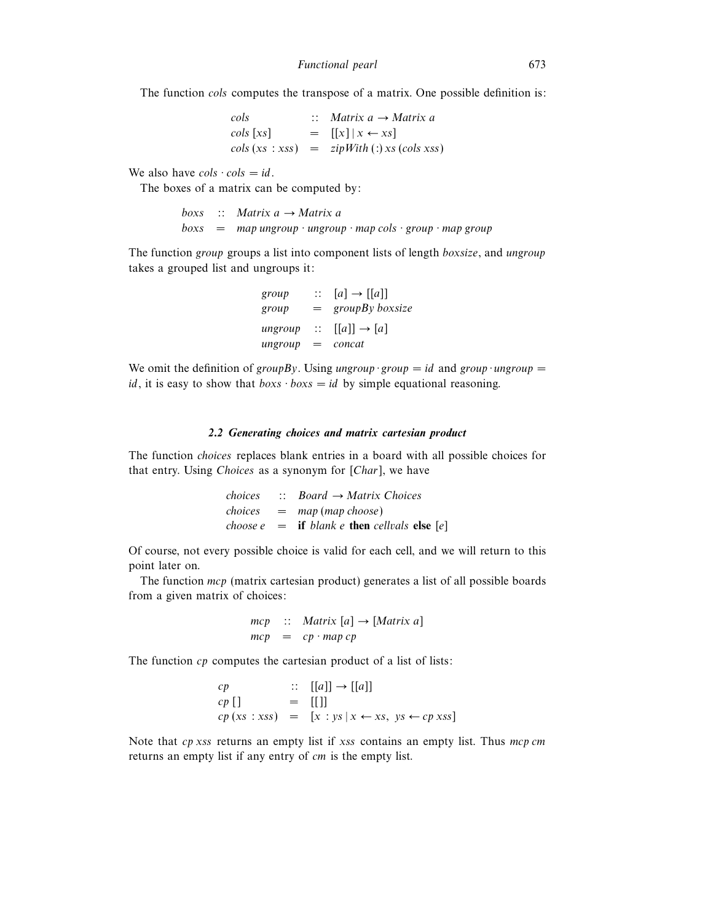The function cols computes the transpose of a matrix. One possible definition is:

$$
\begin{array}{rcl}\n\text{cols} & \text{::} & \text{Matrix } a \to \text{Matrix } a \\
\text{cols [xs]} & = & [[x] \mid x \leftarrow \text{xs}] \\
\text{cols (xs : xss)} & = & \text{zipWith } (\text{:}) \text{xs (cols xss)}\n\end{array}
$$

We also have  $\text{cols} \cdot \text{cols} = id$ .

The boxes of a matrix can be computed by:

 $boxs :: Matrix a \rightarrow Matrix a$  $boxs = map ungroup \cdot ungroup \cdot map \text{ } cols \cdot group \cdot map \text{ } group$ 

The function group groups a list into component lists of length boxsize, and ungroup takes a grouped list and ungroups it:

```
group :: [a] \rightarrow [[a]]group = groupBy boxsizeungroup :: [[a]] \rightarrow [a]ungroup = concat
```
We omit the definition of groupBy. Using ungroup - group = id and group - ungroup = id, it is easy to show that  $boxs \cdot boxs = id$  by simple equational reasoning.

#### 2.2 Generating choices and matrix cartesian product

The function choices replaces blank entries in a board with all possible choices for that entry. Using Choices as a synonym for [Char], we have

> $choices$  :: Board  $\rightarrow$  Matrix Choices  $choices = map (map choose)$ choose  $e =$  if blank e then cellvals else  $[e]$

Of course, not every possible choice is valid for each cell, and we will return to this point later on.

The function mcp (matrix cartesian product) generates a list of all possible boards from a given matrix of choices:

$$
mcp :: Matrix [a] \rightarrow [Matrix a]
$$

$$
mcp = cp \cdot map cp
$$

The function *cp* computes the cartesian product of a list of lists:

$$
cp \qquad :: [[a]] \rightarrow [[a]]\ncp [] \qquad = [[]]\ncp (xs : xss) \qquad = [x : ys | x \leftarrow xs, ys \leftarrow cp xss]
$$

Note that  $cp$  xss returns an empty list if xss contains an empty list. Thus mcp cm returns an empty list if any entry of cm is the empty list.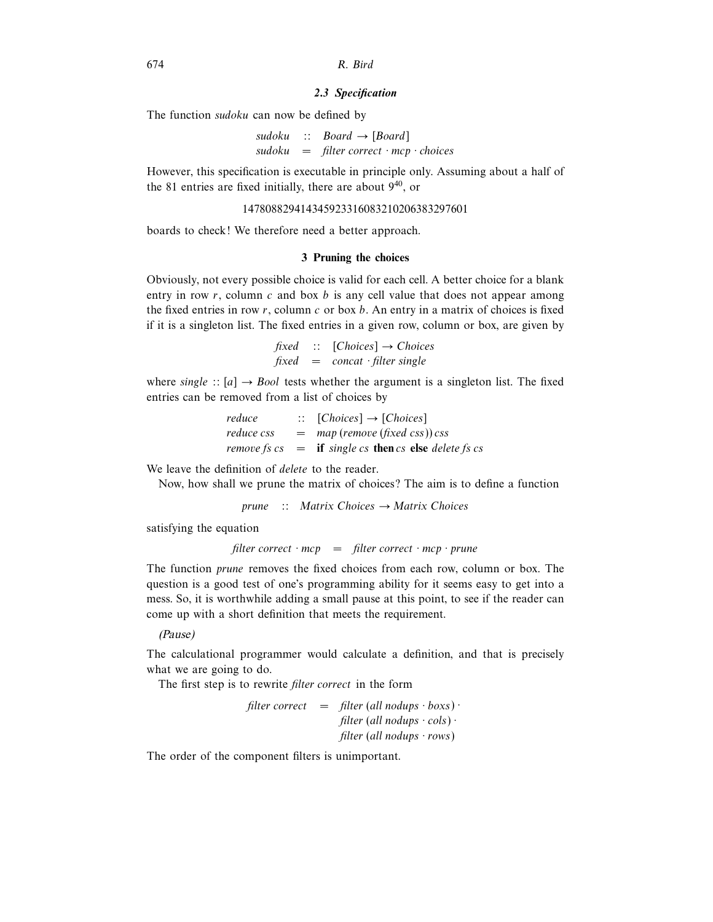# 2.3 Specification

The function sudoku can now be defined by

sudoku :: Board  $\rightarrow$  [Board]  $suboku = filter correct \cdot mcp \cdot choices$ 

However, this specification is executable in principle only. Assuming about a half of the 81 entries are fixed initially, there are about  $9^{40}$ , or

#### 147808829414345923316083210206383297601

boards to check! We therefore need a better approach.

#### 3 Pruning the choices

Obviously, not every possible choice is valid for each cell. A better choice for a blank entry in row r, column c and box  $b$  is any cell value that does not appear among the fixed entries in row r, column  $c$  or box  $b$ . An entry in a matrix of choices is fixed if it is a singleton list. The fixed entries in a given row, column or box, are given by

> $fixed :: [Choices] \rightarrow Choices$  $fixed = concat$  · filter single

where single :: [a]  $\rightarrow$  Bool tests whether the argument is a singleton list. The fixed entries can be removed from a list of choices by

|            | <i>remove fs cs</i> $=$ <b>if</b> single cs <b>then</b> cs <b>else</b> delete fs cs |
|------------|-------------------------------------------------------------------------------------|
| reduce css | $=$ map (remove (fixed css)) css                                                    |
| reduce     | $\therefore$ [Choices] $\rightarrow$ [Choices]                                      |

We leave the definition of delete to the reader.

Now, how shall we prune the matrix of choices? The aim is to define a function

prune  $\therefore$  Matrix Choices  $\rightarrow$  Matrix Choices

satisfying the equation

filter correct  $\cdot$  mcp = filter correct  $\cdot$  mcp  $\cdot$  prune

The function prune removes the fixed choices from each row, column or box. The question is a good test of one's programming ability for it seems easy to get into a mess. So, it is worthwhile adding a small pause at this point, to see if the reader can come up with a short definition that meets the requirement.

#### (Pause)

The calculational programmer would calculate a definition, and that is precisely what we are going to do.

The first step is to rewrite *filter correct* in the form

filter correct  $=$  filter (all nodups  $\cdot$  boxs)  $\cdot$ filter (all nodups  $\cdot$  cols)  $\cdot$ filter (all nodups · rows)

The order of the component filters is unimportant.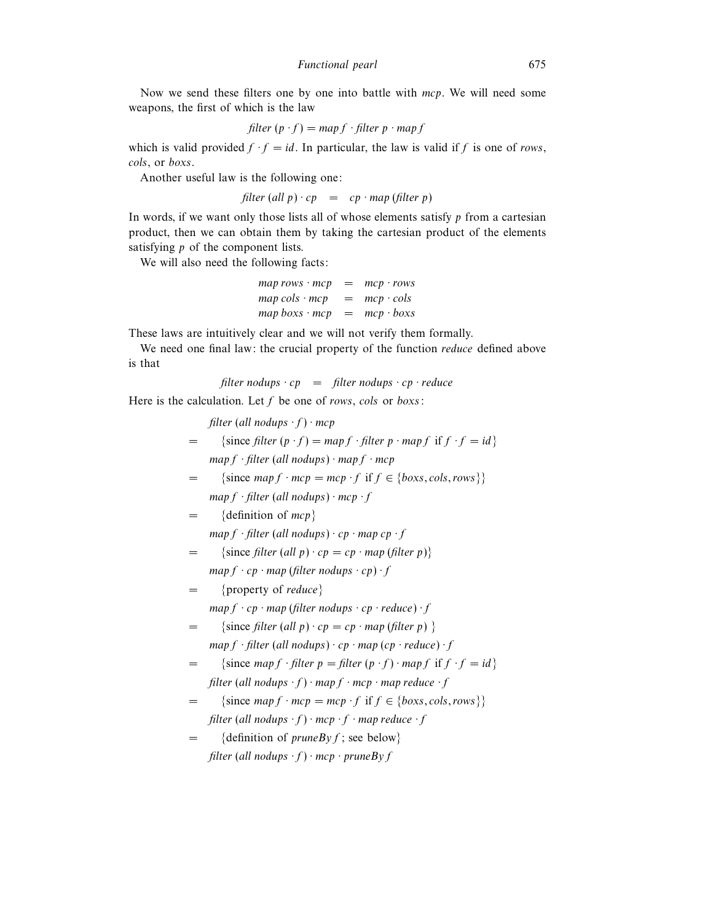Now we send these filters one by one into battle with mcp. We will need some weapons, the first of which is the law

$$
filter (p \cdot f) = map f \cdot filter p \cdot map f
$$

which is valid provided  $f \cdot f = id$ . In particular, the law is valid if f is one of rows, cols, or boxs.

Another useful law is the following one:

filter (all  $p) \cdot cp = cp \cdot map$  (filter p)

In words, if we want only those lists all of whose elements satisfy  $p$  from a cartesian product, then we can obtain them by taking the cartesian product of the elements satisfying  $p$  of the component lists.

We will also need the following facts:

| map rows · mcp         | $=$ | $mcp \cdot rows$        |
|------------------------|-----|-------------------------|
| map ${cols \cdot mcp}$ | $=$ | $mcp \cdot \text{cols}$ |
| map boxs $\cdot$ mcp   | $=$ | $mcp \cdot boxs$        |

These laws are intuitively clear and we will not verify them formally.

We need one final law: the crucial property of the function reduce defined above is that

$$
filter\ nodups \cdot cp = filter\ nodups \cdot cp \cdot reduce
$$

Here is the calculation. Let  $f$  be one of rows, cols or boxs:

filter (all nodups  $\cdot f$ )  $\cdot$  mcp = {since filter  $(p \cdot f)$  = map f · filter p · map f if  $f \cdot f = id$ }  $map f \cdot filter$  (all nodups)  $\cdot map f \cdot mcp$ {since map  $f \cdot mcp = mcp \cdot f$  if  $f \in \{boxs, cols, rows\}$ } map  $f \cdot$  filter (all nodups)  $\cdot$  mcp  $\cdot$  f  $=$  {definition of *mcp*} map  $f \cdot \text{filter}$  (all nodups)  $\cdot$  cp  $\cdot$  map cp  $\cdot f$ {since filter (all p)  $\cdot cp = cp \cdot map$  (filter p)} map  $f \cdot cp \cdot map$  (filter nodups  $\cdot cp) \cdot f$ {property of *reduce*}  $map f \cdot cp \cdot map$  (filter nodups  $\cdot cp \cdot reduce$ )  $\cdot f$ {since filter (all  $p) \cdot cp = cp \cdot map$  (filter p) } map  $f \cdot \text{filter}$  (all nodups)  $\cdot cp \cdot \text{map}(cp \cdot \text{reduce}) \cdot f$ = {since map f · filter  $p =$  filter  $(p \cdot f) \cdot$  map f if  $f \cdot f = id$ } filter (all nodups  $\cdot f$ )  $\cdot$  map  $f \cdot$  mcp  $\cdot$  map reduce  $\cdot f$ {since map  $f \cdot mcp = mcp \cdot f$  if  $f \in \{box, cols, rows\}$ } filter (all nodups  $\cdot f \cdot mcp \cdot f \cdot map$  reduce  $\cdot f$ {definition of *pruneBy f* ; see below} filter (all nodups  $\cdot f$ )  $\cdot$  mcp  $\cdot$  pruneBy f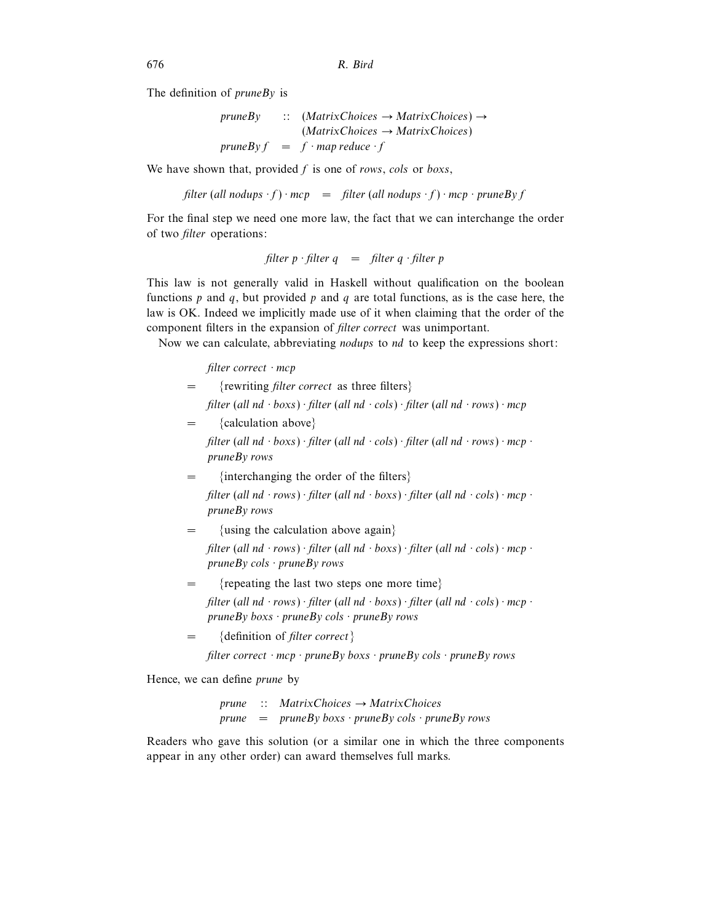676 R. Bird

The definition of  $pruneBy$  is

 $pruneBy :: (MatrixChoices \rightarrow MatrixChoices) \rightarrow$  $(MatrixChoices \rightarrow MatrixChoices)$ pruneBy  $f = f \cdot map$  reduce  $\cdot f$ 

We have shown that, provided  $f$  is one of *rows*, *cols* or *boxs*,

filter (all nodups  $\cdot f \cdot mcp =$  filter (all nodups  $\cdot f \cdot mcp \cdot pruneByf$ 

For the final step we need one more law, the fact that we can interchange the order of two filter operations:

filter p · filter  $q =$  filter  $q$  · filter p

This law is not generally valid in Haskell without qualification on the boolean functions p and q, but provided p and q are total functions, as is the case here, the law is OK. Indeed we implicitly made use of it when claiming that the order of the component filters in the expansion of filter correct was unimportant.

Now we can calculate, abbreviating nodups to nd to keep the expressions short:

filter correct · mcp

 $=$  {rewriting *filter correct* as three filters}

filter (all nd · boxs) · filter (all nd · cols) · filter (all nd · rows) · mcp

= {calculation above}

filter (all nd · boxs) · filter (all nd · cols) · filter (all nd · rows) · mcp · pruneBy rows

 $=$  {interchanging the order of the filters}

filter (all nd · rows) · filter (all nd · boxs) · filter (all nd · cols) · mcp · pruneBy rows

 $=$  {using the calculation above again}

filter (all nd · rows) · filter (all nd · boxs) · filter (all nd · cols) · mcp · pruneBy cols · pruneBy rows

= {repeating the last two steps one more time}

filter (all nd · rows) · filter (all nd · boxs) · filter (all nd · cols) · mcp ·  $pruneBy$  boxs  $\cdot$  pruneBy cols  $\cdot$  pruneBy rows

 $=$  {definition of *filter correct*}

filter correct  $\cdot$  mcp  $\cdot$  pruneBy boxs  $\cdot$  pruneBy cols  $\cdot$  pruneBy rows

Hence, we can define prune by

prune  $\therefore$  MatrixChoices  $\rightarrow$  MatrixChoices prune  $=$  pruneBy boxs · pruneBy cols · pruneBy rows

Readers who gave this solution (or a similar one in which the three components appear in any other order) can award themselves full marks.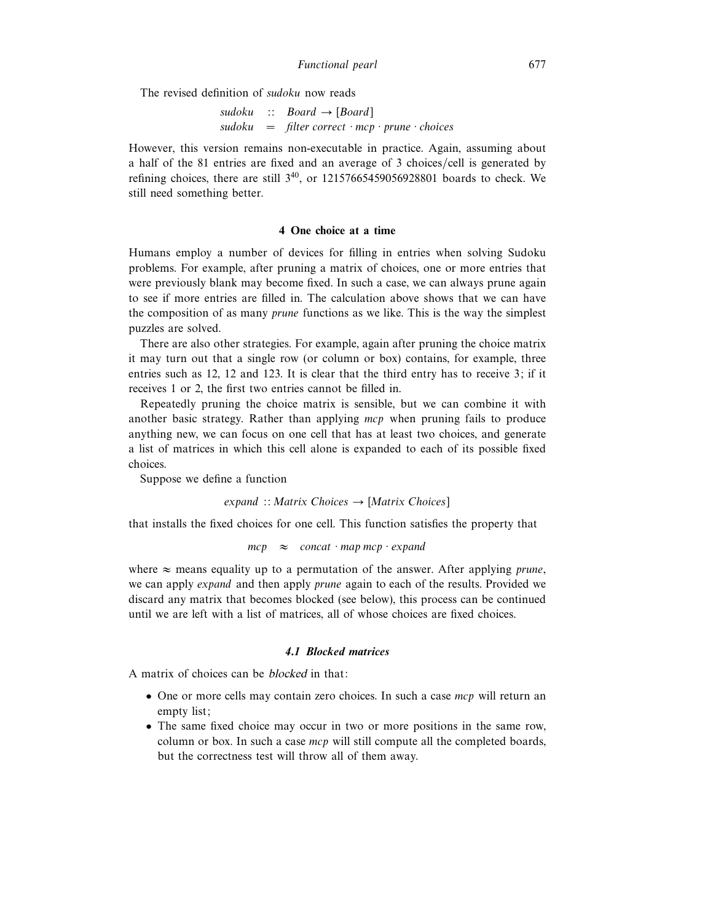The revised definition of sudoku now reads

 $sudoku :: Board \rightarrow [Board]$  $sudoku = filter correct \cdot mcp \cdot prune \cdot choices$ 

However, this version remains non-executable in practice. Again, assuming about a half of the 81 entries are fixed and an average of 3 choices/cell is generated by refining choices, there are still  $3^{40}$ , or 12157665459056928801 boards to check. We still need something better.

# 4 One choice at a time

Humans employ a number of devices for filling in entries when solving Sudoku problems. For example, after pruning a matrix of choices, one or more entries that were previously blank may become fixed. In such a case, we can always prune again to see if more entries are filled in. The calculation above shows that we can have the composition of as many prune functions as we like. This is the way the simplest puzzles are solved.

There are also other strategies. For example, again after pruning the choice matrix it may turn out that a single row (or column or box) contains, for example, three entries such as 12, 12 and 123. It is clear that the third entry has to receive 3; if it receives 1 or 2, the first two entries cannot be filled in.

Repeatedly pruning the choice matrix is sensible, but we can combine it with another basic strategy. Rather than applying mcp when pruning fails to produce anything new, we can focus on one cell that has at least two choices, and generate a list of matrices in which this cell alone is expanded to each of its possible fixed choices.

Suppose we define a function

 $expand :: Matrix Choices \rightarrow [Matrix Choices]$ 

that installs the fixed choices for one cell. This function satisfies the property that

 $mcp \approx \text{concat} \cdot map \, mcp \cdot \text{expand}$ 

where  $\approx$  means equality up to a permutation of the answer. After applying prune, we can apply *expand* and then apply *prune* again to each of the results. Provided we discard any matrix that becomes blocked (see below), this process can be continued until we are left with a list of matrices, all of whose choices are fixed choices.

# 4.1 Blocked matrices

A matrix of choices can be blocked in that:

- One or more cells may contain zero choices. In such a case mcp will return an empty list;
- The same fixed choice may occur in two or more positions in the same row, column or box. In such a case mcp will still compute all the completed boards, but the correctness test will throw all of them away.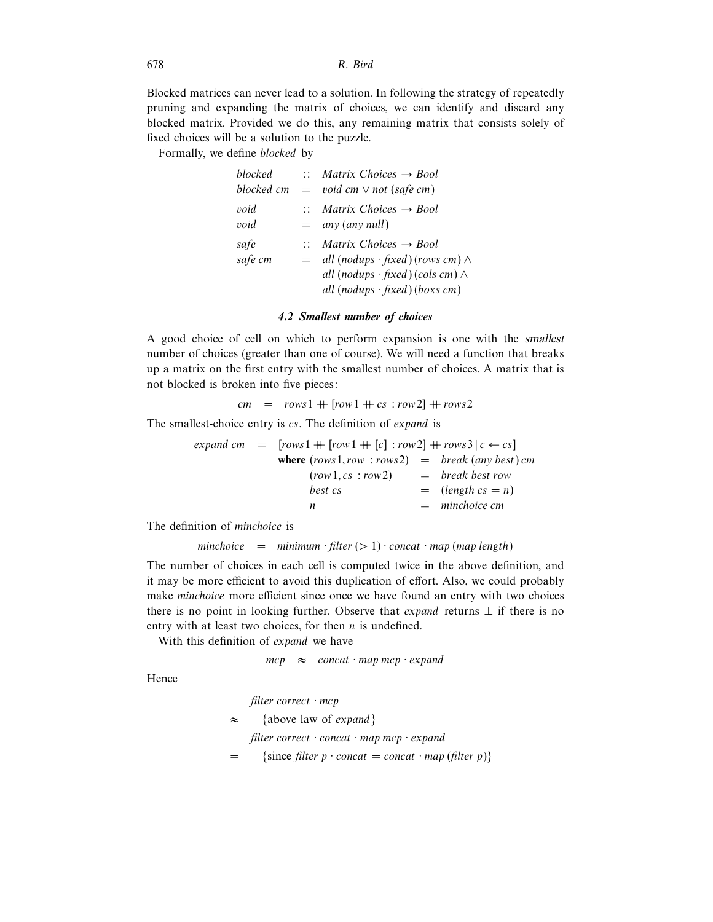Blocked matrices can never lead to a solution. In following the strategy of repeatedly pruning and expanding the matrix of choices, we can identify and discard any blocked matrix. Provided we do this, any remaining matrix that consists solely of fixed choices will be a solution to the puzzle.

Formally, we define blocked by

| <i>blocked</i> | $\therefore$ Matrix Choices $\rightarrow$ Bool<br>blocked cm $=$ void cm $\vee$ not (safe cm) |
|----------------|-----------------------------------------------------------------------------------------------|
| void           | $\therefore$ Matrix Choices $\rightarrow$ Bool                                                |
| void<br>safe   | $=$ any (any null)<br>Matrix Choices $\rightarrow$ Bool                                       |
| safe cm        | $=$ all (nodups · fixed) (rows cm) $\wedge$                                                   |
|                | all (nodups $\cdot$ fixed) (cols cm) $\wedge$<br>all (nodups $\cdot$ fixed) (boxs cm)         |

#### 4.2 Smallest number of choices

A good choice of cell on which to perform expansion is one with the smallest number of choices (greater than one of course). We will need a function that breaks up a matrix on the first entry with the smallest number of choices. A matrix that is not blocked is broken into five pieces:

 $cm = rows1 + [row1 + cs : row2] + rows2$ 

The smallest-choice entry is cs. The definition of *expand* is

expand cm =  $[rows 1 + [row 1 + [c] : row 2] + rows 3 | c \leftarrow cs]$ where  $(rows1, row : rows2)$  = break (any best) cm  $(row1, cs : row2)$  = break best row best cs  $=$   $(\text{length } \text{cs } = n)$  $n =$  minchoice cm

The definition of minchoice is

minchoice  $=$  minimum  $\cdot$  filter  $(> 1) \cdot$  concat  $\cdot$  map (map length)

The number of choices in each cell is computed twice in the above definition, and it may be more efficient to avoid this duplication of effort. Also, we could probably make minchoice more efficient since once we have found an entry with two choices there is no point in looking further. Observe that *expand* returns  $\perp$  if there is no entry with at least two choices, for then  $n$  is undefined.

With this definition of expand we have

 $mcp \approx \text{concat} \cdot \text{map} \, mcp \cdot \text{expand}$ 

Hence

filter correct · mcp  $\approx$  {above law of *expand*} filter correct  $\cdot$  concat  $\cdot$  map mcp  $\cdot$  expand  $=$  {since filter p · concat = concat · map (filter p)}